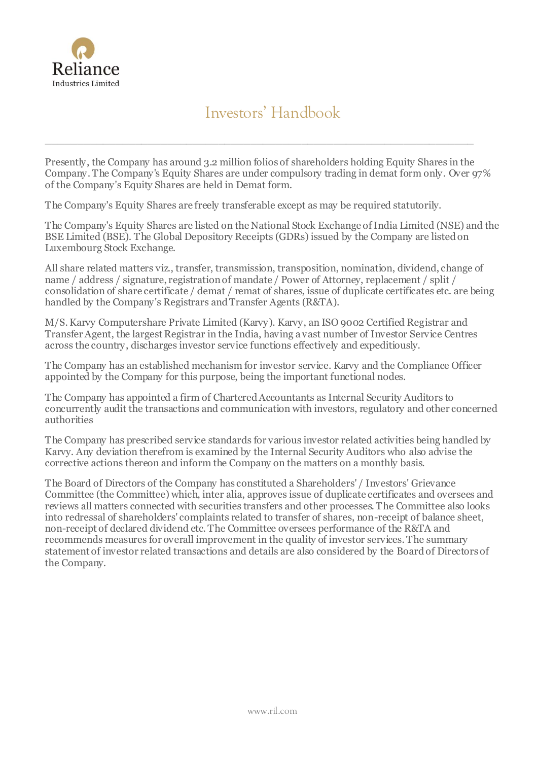

# Investors' Handbook

Presently, the Company has around 3.2 million folios of shareholders holding Equity Shares in the Company. The Company's Equity Shares are under compulsory trading in demat form only. Over 97% of the Company's Equity Shares are held in Demat form.

 $\_$  , and the contribution of the contribution of the contribution of the contribution of the contribution of  $\mathcal{L}_i$ 

The Company's Equity Shares are freely transferable except as may be required statutorily.

The Company's Equity Shares are listed on the National Stock Exchange of India Limited (NSE) and the BSE Limited (BSE). The Global Depository Receipts (GDRs) issued by the Company are listed on Luxembourg Stock Exchange.

All share related matters viz., transfer, transmission, transposition, nomination, dividend, change of name / address / signature, registration of mandate / Power of Attorney, replacement / split / consolidation of share certificate / demat / remat of shares, issue of duplicate certificates etc. are being handled by the Company's Registrars and Transfer Agents (R&TA).

M/S. Karvy Computershare Private Limited (Karvy). Karvy, an ISO 9002 Certified Registrar and Transfer Agent, the largest Registrar in the India, having a vast number of Investor Service Centres across the country, discharges investor service functions effectively and expeditiously.

The Company has an established mechanism for investor service. Karvy and the Compliance Officer appointed by the Company for this purpose, being the important functional nodes.

The Company has appointed a firm of Chartered Accountants as Internal Security Auditors to concurrently audit the transactions and communication with investors, regulatory and other concerned authorities

The Company has prescribed service standards for various investor related activities being handled by Karvy. Any deviation therefrom is examined by the Internal Security Auditors who also advise the corrective actions thereon and inform the Company on the matters on a monthly basis.

The Board of Directors of the Company has constituted a Shareholders' / Investors' Grievance Committee (the Committee) which, inter alia, approves issue of duplicate certificates and oversees and reviews all matters connected with securities transfers and other processes. The Committee also looks into redressal of shareholders' complaints related to transfer of shares, non-receipt of balance sheet, non-receipt of declared dividend etc. The Committee oversees performance of the R&TA and recommends measures for overall improvement in the quality of investor services. The summary statement of investor related transactions and details are also considered by the Board of Directors of the Company.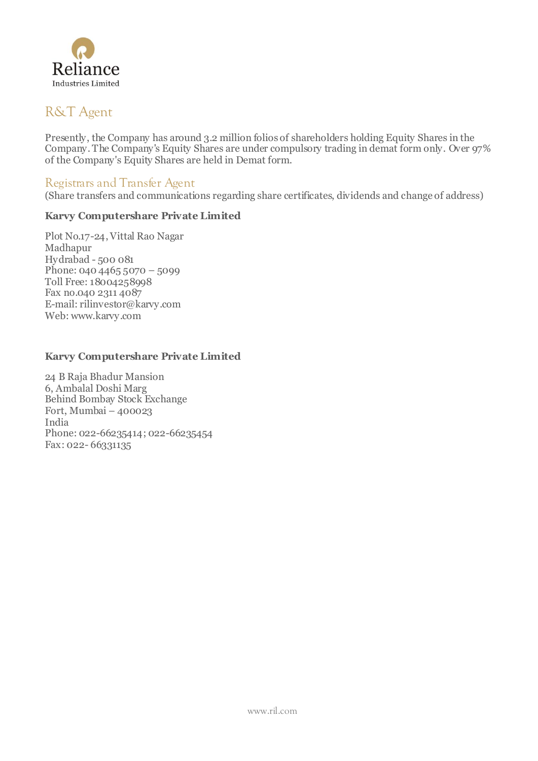

## R&T Agent

Presently, the Company has around 3.2 million folios of shareholders holding Equity Shares in the Company. The Company's Equity Shares are under compulsory trading in demat form only. Over 97% of the Company's Equity Shares are held in Demat form.

### Registrars and Transfer Agent

(Share transfers and communications regarding share certificates, dividends and change of address)

#### **Karvy Computershare Private Limited**

Plot No.17-24, Vittal Rao Nagar Madhapur Hydrabad - 500 081 Phone: 040 4465 5070 – 5099 Toll Free: 18004258998 Fax no.040 2311 4087 E-mail[: rilinvestor@karvy.com](mailto:rilinvestor@karvy.com) Web: www.karvy.com

#### **Karvy Computershare Private Limited**

24 B Raja Bhadur Mansion 6, Ambalal Doshi Marg Behind Bombay Stock Exchange Fort, Mumbai – 400023 India Phone: 022-66235414; 022-66235454 Fax: 022-66331135